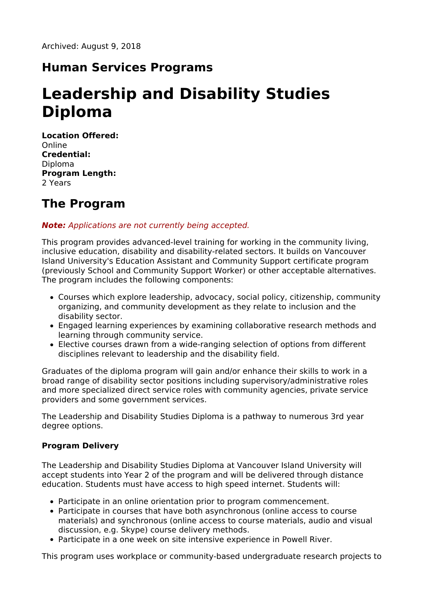### **Human Services Programs**

# **Leadership and Disability Studies Diploma**

**Location Offered:** Online **Credential:** Diploma **Program Length:** 2 Years

## **The Program**

**Note:** Applications are not currently being accepted.

This program provides advanced-level training for working in the community living, inclusive education, disability and disability-related sectors. It builds on Vancouver Island University's Education Assistant and Community Support certificate program (previously School and Community Support Worker) or other acceptable alternatives. The program includes the following components:

- Courses which explore leadership, advocacy, social policy, citizenship, community organizing, and community development as they relate to inclusion and the disability sector.
- Engaged learning experiences by examining collaborative research methods and learning through community service.
- Elective courses drawn from a wide-ranging selection of options from different disciplines relevant to leadership and the disability field.

Graduates of the diploma program will gain and/or enhance their skills to work in a broad range of disability sector positions including supervisory/administrative roles and more specialized direct service roles with community agencies, private service providers and some government services.

The Leadership and Disability Studies Diploma is a pathway to numerous 3rd year degree options.

#### **Program Delivery**

The Leadership and Disability Studies Diploma at Vancouver Island University will accept students into Year 2 of the program and will be delivered through distance education. Students must have access to high speed internet. Students will:

- Participate in an online orientation prior to program commencement.
- Participate in courses that have both asynchronous (online access to course materials) and synchronous (online access to course materials, audio and visual discussion, e.g. Skype) course delivery methods.
- Participate in a one week on site intensive experience in Powell River.

This program uses workplace or community-based undergraduate research projects to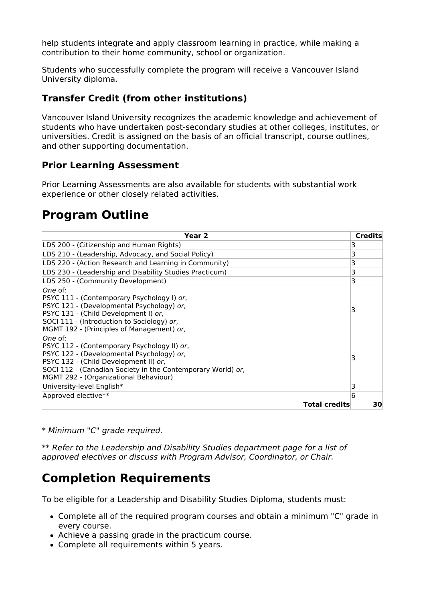help students integrate and apply classroom learning in practice, while making a contribution to their home community, school or organization.

Students who successfully complete the program will receive a Vancouver Island University diploma.

### **Transfer Credit (from other institutions)**

Vancouver Island University recognizes the academic knowledge and achievement of students who have undertaken post-secondary studies at other colleges, institutes, or universities. Credit is assigned on the basis of an official transcript, course outlines, and other supporting documentation.

### **Prior Learning Assessment**

Prior Learning Assessments are also available for students with substantial work experience or other closely related activities.

## **Program Outline**

| Year <sub>2</sub>                                                                                                                                                                                                                                     | <b>Credits</b> |
|-------------------------------------------------------------------------------------------------------------------------------------------------------------------------------------------------------------------------------------------------------|----------------|
| LDS 200 - (Citizenship and Human Rights)                                                                                                                                                                                                              | 3              |
| LDS 210 - (Leadership, Advocacy, and Social Policy)                                                                                                                                                                                                   | 3              |
| LDS 220 - (Action Research and Learning in Community)                                                                                                                                                                                                 | 3              |
| LDS 230 - (Leadership and Disability Studies Practicum)                                                                                                                                                                                               | 3              |
| LDS 250 - (Community Development)                                                                                                                                                                                                                     | 3              |
| lOne of:<br>PSYC 111 - (Contemporary Psychology I) or,<br>PSYC 121 - (Developmental Psychology) or,<br>PSYC 131 - (Child Development I) or,<br>SOCI 111 - (Introduction to Sociology) or,<br>MGMT 192 - (Principles of Management) or,                | 3              |
| lOne of:<br>PSYC 112 - (Contemporary Psychology II) or,<br>PSYC 122 - (Developmental Psychology) or,<br>PSYC 132 - (Child Development II) or,<br>SOCI 112 - (Canadian Society in the Contemporary World) or,<br>MGMT 292 - (Organizational Behaviour) | 3              |
| University-level English*                                                                                                                                                                                                                             | 3              |
| Approved elective**                                                                                                                                                                                                                                   | 6              |
| <b>Total credits</b>                                                                                                                                                                                                                                  | 30             |

\* Minimum "C" grade required.

\*\* Refer to the Leadership and Disability Studies department page for a list of approved electives or discuss with Program Advisor, Coordinator, or Chair.

# **Completion Requirements**

To be eligible for a Leadership and Disability Studies Diploma, students must:

- Complete all of the required program courses and obtain a minimum "C" grade in every course.
- Achieve a passing grade in the practicum course.
- Complete all requirements within 5 years.